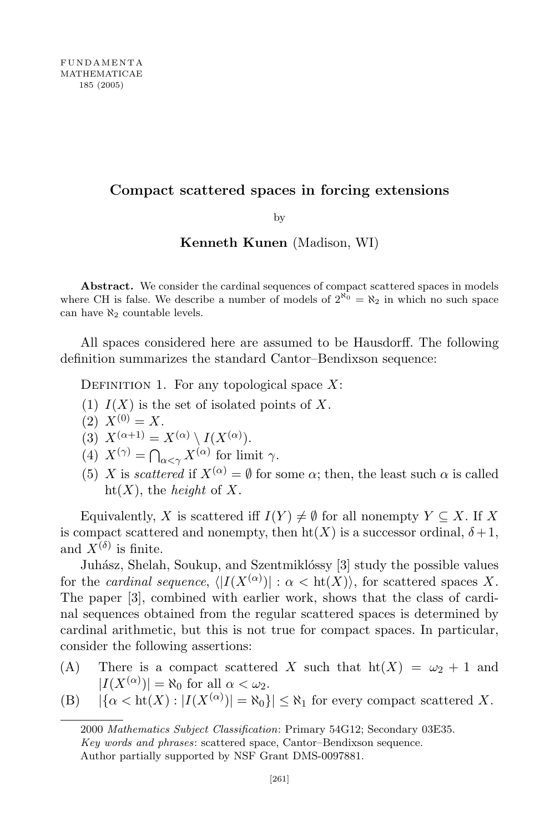## Compact scattered spaces in forcing extensions

by

## Kenneth Kunen (Madison, WI)

Abstract. We consider the cardinal sequences of compact scattered spaces in models where CH is false. We describe a number of models of  $2^{\aleph_0} = \aleph_2$  in which no such space can have  $\aleph_2$  countable levels.

All spaces considered here are assumed to be Hausdorff. The following definition summarizes the standard Cantor–Bendixson sequence:

DEFINITION 1. For any topological space  $X$ :

- (1)  $I(X)$  is the set of isolated points of X.
- $(2)$   $X^{(0)} = X$ .

(3) 
$$
X^{(\alpha+1)} = X^{(\alpha)} \setminus I(X^{(\alpha)}).
$$

- (4)  $X^{(\gamma)} = \bigcap_{\alpha < \gamma} X^{(\alpha)}$  for limit  $\gamma$ .
- (5) X is scattered if  $X^{(\alpha)} = \emptyset$  for some  $\alpha$ ; then, the least such  $\alpha$  is called ht $(X)$ , the *height* of X.

Equivalently, X is scattered iff  $I(Y) \neq \emptyset$  for all nonempty  $Y \subseteq X$ . If X is compact scattered and nonempty, then  $\text{ht}(X)$  is a successor ordinal,  $\delta + 1$ , and  $X^{(\delta)}$  is finite.

Juhász, Shelah, Soukup, and Szentmiklóssy [3] study the possible values for the cardinal sequence,  $\langle |I(X^{(\alpha)})| : \alpha < \mathrm{ht}(X) \rangle$ , for scattered spaces X. The paper [3], combined with earlier work, shows that the class of cardinal sequences obtained from the regular scattered spaces is determined by cardinal arithmetic, but this is not true for compact spaces. In particular, consider the following assertions:

- (A) There is a compact scattered X such that  $\text{ht}(X) = \omega_2 + 1$  and  $|I(X^{(\alpha)})| = \aleph_0$  for all  $\alpha < \omega_2$ .
- (B)  $|\{\alpha < \text{ht}(X) : |I(X^{(\alpha)})| = \aleph_0\}| \le \aleph_1$  for every compact scattered X.

<sup>2000</sup> Mathematics Subject Classification: Primary 54G12; Secondary 03E35. Key words and phrases: scattered space, Cantor–Bendixson sequence. Author partially supported by NSF Grant DMS-0097881.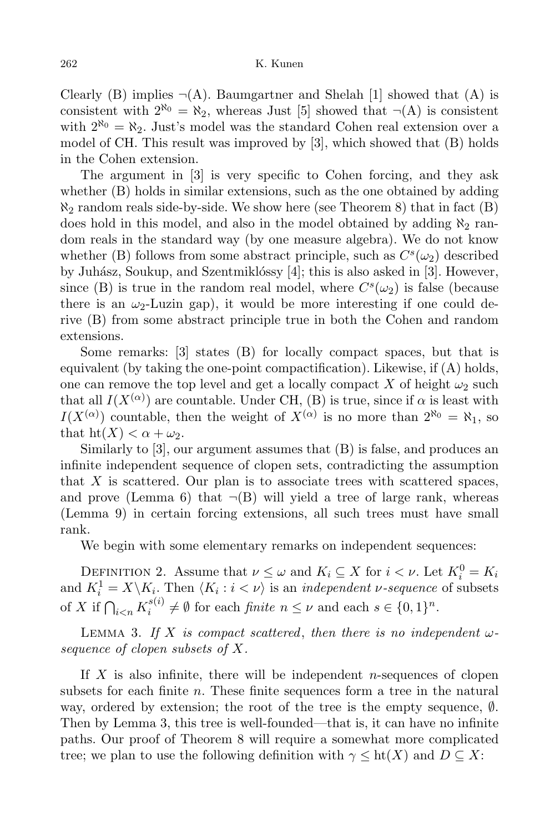Clearly (B) implies  $\neg(A)$ . Baumgartner and Shelah [1] showed that (A) is consistent with  $2^{\aleph_0} = \aleph_2$ , whereas Just [5] showed that  $\neg(A)$  is consistent with  $2^{\aleph_0} = \aleph_2$ . Just's model was the standard Cohen real extension over a model of CH. This result was improved by [3], which showed that (B) holds in the Cohen extension.

The argument in [3] is very specific to Cohen forcing, and they ask whether (B) holds in similar extensions, such as the one obtained by adding  $\aleph_2$  random reals side-by-side. We show here (see Theorem 8) that in fact (B) does hold in this model, and also in the model obtained by adding  $\aleph_2$  random reals in the standard way (by one measure algebra). We do not know whether (B) follows from some abstract principle, such as  $C<sup>s</sup>(\omega_2)$  described by Juhász, Soukup, and Szentmiklóssy  $[4]$ ; this is also asked in [3]. However, since (B) is true in the random real model, where  $C<sup>s</sup>(\omega_2)$  is false (because there is an  $\omega_2$ -Luzin gap), it would be more interesting if one could derive (B) from some abstract principle true in both the Cohen and random extensions.

Some remarks: [3] states (B) for locally compact spaces, but that is equivalent (by taking the one-point compactification). Likewise, if (A) holds, one can remove the top level and get a locally compact X of height  $\omega_2$  such that all  $I(X^{(\alpha)})$  are countable. Under CH, (B) is true, since if  $\alpha$  is least with  $I(X^{(\alpha)})$  countable, then the weight of  $X^{(\alpha)}$  is no more than  $2^{\aleph_0} = \aleph_1$ , so that  $\text{ht}(X) < \alpha + \omega_2$ .

Similarly to [3], our argument assumes that (B) is false, and produces an infinite independent sequence of clopen sets, contradicting the assumption that  $X$  is scattered. Our plan is to associate trees with scattered spaces, and prove (Lemma 6) that  $\neg(B)$  will yield a tree of large rank, whereas (Lemma 9) in certain forcing extensions, all such trees must have small rank.

We begin with some elementary remarks on independent sequences:

DEFINITION 2. Assume that  $\nu \leq \omega$  and  $K_i \subseteq X$  for  $i < \nu$ . Let  $K_i^0 = K_i$ and  $K_i^1 = X \backslash K_i$ . Then  $\langle K_i : i < \nu \rangle$  is an *independent v-sequence* of subsets of X if  $\bigcap_{i\leq n} K_i^{s(i)}$  $e_i^{s(i)} \neq \emptyset$  for each *finite*  $n \leq \nu$  and each  $s \in \{0,1\}^n$ .

LEMMA 3. If X is compact scattered, then there is no independent  $\omega$ sequence of clopen subsets of X.

If  $X$  is also infinite, there will be independent *n*-sequences of clopen subsets for each finite  $n$ . These finite sequences form a tree in the natural way, ordered by extension; the root of the tree is the empty sequence, ∅. Then by Lemma 3, this tree is well-founded—that is, it can have no infinite paths. Our proof of Theorem 8 will require a somewhat more complicated tree; we plan to use the following definition with  $\gamma \leq ht(X)$  and  $D \subseteq X$ :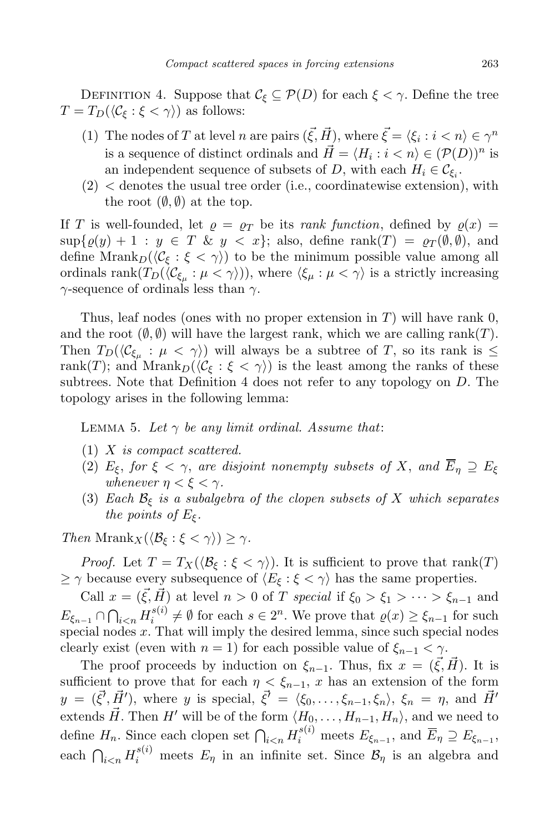DEFINITION 4. Suppose that  $\mathcal{C}_{\xi} \subseteq \mathcal{P}(D)$  for each  $\xi < \gamma$ . Define the tree  $T = T_D(\langle \mathcal{C}_{\xi} : \xi < \gamma \rangle)$  as follows:

- (1) The nodes of T at level n are pairs  $(\vec{\xi}, \vec{H})$ , where  $\vec{\xi} = \langle \xi_i : i \langle n \rangle \in \gamma^n$ is a sequence of distinct ordinals and  $\vec{H} = \langle H_i : i \langle n \rangle \in (\mathcal{P}(D))^n$  is an independent sequence of subsets of D, with each  $H_i \in \mathcal{C}_{\xi_i}$ .
- $(2)$  < denotes the usual tree order (i.e., coordinatewise extension), with the root  $(\emptyset, \emptyset)$  at the top.

If T is well-founded, let  $\rho = \rho_T$  be its rank function, defined by  $\rho(x) =$  $\sup\{\varrho(y) + 1 : y \in T \& y < x\};\$ also, define  $\text{rank}(T) = \varrho_T(\emptyset, \emptyset),\$ and define  $\text{Mrank}_{D}(\langle \mathcal{C}_{\xi} : \xi < \gamma \rangle)$  to be the minimum possible value among all ordinals  $\text{rank}(T_D(\langle \mathcal{C}_{\xi_\mu} : \mu < \gamma \rangle)),$  where  $\langle \xi_\mu : \mu < \gamma \rangle$  is a strictly increasing  $\gamma$ -sequence of ordinals less than  $\gamma$ .

Thus, leaf nodes (ones with no proper extension in  $T$ ) will have rank 0, and the root  $(\emptyset, \emptyset)$  will have the largest rank, which we are calling rank(T). Then  $T_D(\langle \mathcal{C}_{\xi_\mu} : \mu \langle \gamma \rangle)$  will always be a subtree of T, so its rank is  $\leq$ rank(T); and  $\text{Mrank}_{D}(\langle \mathcal{C}_{\xi} : \xi \langle \gamma \rangle)$  is the least among the ranks of these subtrees. Note that Definition 4 does not refer to any topology on D. The topology arises in the following lemma:

LEMMA 5. Let  $\gamma$  be any limit ordinal. Assume that:

- (1) X is compact scattered.
- (2)  $E_{\xi}$ , for  $\xi < \gamma$ , are disjoint nonempty subsets of X, and  $\overline{E}_\eta \supseteq E_{\xi}$ whenever  $\eta < \xi < \gamma$ .
- (3) Each  $\mathcal{B}_{\xi}$  is a subalgebra of the clopen subsets of X which separates the points of  $E_{\xi}$ .

Then Mrank<sub>X</sub> $(\langle \mathcal{B}_{\xi} : \xi < \gamma \rangle) \geq \gamma$ .

*Proof.* Let  $T = T_X(\langle \mathcal{B}_{\xi} : \xi < \gamma \rangle)$ . It is sufficient to prove that rank(T)  $\geq \gamma$  because every subsequence of  $\langle E_{\xi} : \xi < \gamma \rangle$  has the same properties.

Call  $x = (\vec{\xi}, \vec{H})$  at level  $n > 0$  of T special if  $\xi_0 > \xi_1 > \cdots > \xi_{n-1}$  and  $E_{\xi_{n-1}} \cap \bigcap_{i$  $s_i^{(s)}$  ≠  $\emptyset$  for each  $s \in 2^n$ . We prove that  $\varrho(x) \geq \xi_{n-1}$  for such special nodes  $x$ . That will imply the desired lemma, since such special nodes clearly exist (even with  $n = 1$ ) for each possible value of  $\xi_{n-1} < \gamma$ .

The proof proceeds by induction on  $\xi_{n-1}$ . Thus, fix  $x = (\vec{\xi}, \vec{H})$ . It is sufficient to prove that for each  $\eta < \xi_{n-1}$ , x has an extension of the form  $y = (\vec{\xi}', \vec{H}')$ , where y is special,  $\vec{\xi}' = \langle \xi_0, \ldots, \xi_{n-1}, \xi_n \rangle$ ,  $\xi_n = \eta$ , and  $\vec{H}'$ extends  $\vec{H}$ . Then H' will be of the form  $\langle H_0, \ldots, H_{n-1}, H_n \rangle$ , and we need to define  $H_n$ . Since each clopen set  $\bigcap_{i\leq n} H_i^{s(i)}$  meets  $E_{\xi_{n-1}}$ , and  $\overline{E}_\eta \supseteq E_{\xi_{n-1}}$ , each  $\bigcap_{i\leq n} H_i^{s(i)}$  meets  $E_\eta$  in an infinite set. Since  $\mathcal{B}_\eta$  is an algebra and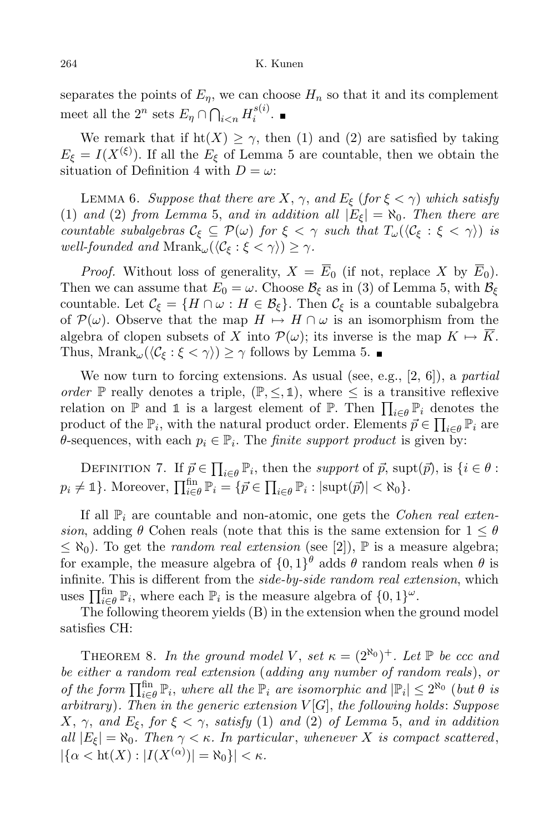separates the points of  $E_n$ , we can choose  $H_n$  so that it and its complement meet all the  $2^n$  sets  $E_\eta \cap \bigcap_{i \lt n} H_i^{s(i)}$  $\frac{1}{i}$ .

We remark that if  $\text{ht}(X) \geq \gamma$ , then (1) and (2) are satisfied by taking  $E_{\xi} = I(X^{(\xi)})$ . If all the  $E_{\xi}$  of Lemma 5 are countable, then we obtain the situation of Definition 4 with  $D = \omega$ :

LEMMA 6. Suppose that there are X,  $\gamma$ , and  $E_{\xi}$  (for  $\xi < \gamma$ ) which satisfy (1) and (2) from Lemma 5, and in addition all  $|E_{\xi}| = \aleph_0$ . Then there are countable subalgebras  $C_{\xi} \subseteq \mathcal{P}(\omega)$  for  $\xi < \gamma$  such that  $T_{\omega}(\langle C_{\xi} : \xi < \gamma \rangle)$  is well-founded and  $Mrank_{\omega}(\langle \mathcal{C}_{\xi} : \xi < \gamma \rangle) \geq \gamma$ .

*Proof.* Without loss of generality,  $X = \overline{E}_0$  (if not, replace X by  $\overline{E}_0$ ). Then we can assume that  $E_0 = \omega$ . Choose  $\mathcal{B}_{\xi}$  as in (3) of Lemma 5, with  $\mathcal{B}_{\xi}$ countable. Let  $\mathcal{C}_{\xi} = \{H \cap \omega : H \in \mathcal{B}_{\xi}\}.$  Then  $\mathcal{C}_{\xi}$  is a countable subalgebra of  $\mathcal{P}(\omega)$ . Observe that the map  $H \mapsto H \cap \omega$  is an isomorphism from the algebra of clopen subsets of X into  $\mathcal{P}(\omega)$ ; its inverse is the map  $K \mapsto \overline{K}$ . Thus, Mrank<sub>ω</sub> $(\langle \mathcal{C}_{\xi} : \xi < \gamma \rangle) \geq \gamma$  follows by Lemma 5.

We now turn to forcing extensions. As usual (see, e.g.,  $[2, 6]$ ), a *partial* order P really denotes a triple,  $(\mathbb{P}, \leq, \mathbb{1})$ , where  $\leq$  is a transitive reflexive relation on  $\mathbb P$  and 1 is a largest element of  $\mathbb P$ . Then  $\prod_{i\in\theta} \mathbb P_i$  denotes the product of the  $\mathbb{P}_i$ , with the natural product order. Elements  $\vec{p} \in \prod_{i \in \theta} \mathbb{P}_i$  are  $\theta$ -sequences, with each  $p_i \in \mathbb{P}_i$ . The *finite support product* is given by:

DEFINITION 7. If  $\vec{p} \in \prod_{i \in \theta} \mathbb{P}_i$ , then the support of  $\vec{p}$ , supt $(\vec{p})$ , is  $\{i \in \theta :$  $p_i \neq \mathbb{1}$ . Moreover,  $\prod_{i \in \theta}^{\text{fin}} \mathbb{P}_i = \{ \vec{p} \in \prod_{i \in \theta} \mathbb{P}_i : |\text{supt}(\vec{p})| < \aleph_0 \}.$ 

If all  $\mathbb{P}_i$  are countable and non-atomic, one gets the *Cohen real exten*sion, adding  $\theta$  Cohen reals (note that this is the same extension for  $1 \leq \theta$ )  $\leq \aleph_0$ ). To get the *random real extension* (see [2]),  $\mathbb P$  is a measure algebra; for example, the measure algebra of  $\{0,1\}^{\theta}$  adds  $\theta$  random reals when  $\theta$  is infinite. This is different from the side-by-side random real extension, which uses  $\prod_{i\in\theta}^{\text{fin}} \mathbb{P}_i$ , where each  $\mathbb{P}_i$  is the measure algebra of  $\{0,1\}^{\omega}$ .

The following theorem yields (B) in the extension when the ground model satisfies CH:

THEOREM 8. In the ground model V, set  $\kappa = (2^{\aleph_0})^+$ . Let  $\mathbb P$  be ccc and be either a random real extension (adding any number of random reals), or of the form  $\prod_{i\in\theta}^{\text{fin}}\mathbb{P}_i$ , where all the  $\mathbb{P}_i$  are isomorphic and  $|\mathbb{P}_i|\leq 2^{\aleph_0}$  (but  $\theta$  is arbitrary). Then in the generic extension  $V[G]$ , the following holds: Suppose X,  $\gamma$ , and  $E_{\xi}$ , for  $\xi < \gamma$ , satisfy (1) and (2) of Lemma 5, and in addition all  $|E_{\xi}| = \aleph_0$ . Then  $\gamma < \kappa$ . In particular, whenever X is compact scattered,  $|\{\alpha < \text{ht}(X) : |I(X^{(\alpha)})| = \aleph_0\}| < \kappa.$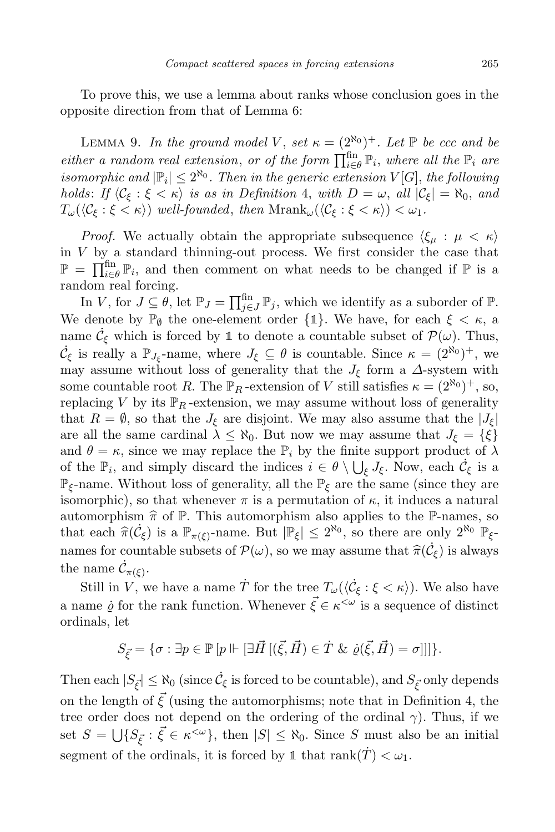To prove this, we use a lemma about ranks whose conclusion goes in the opposite direction from that of Lemma 6:

LEMMA 9. In the ground model V, set  $\kappa = (2^{\aleph_0})^+$ . Let  $\mathbb P$  be ccc and be either a random real extension, or of the form  $\prod_{i\in\theta}^{fin} \mathbb{P}_i$ , where all the  $\mathbb{P}_i$  are isomorphic and  $|\mathbb{P}_i| \leq 2^{\aleph_0}$ . Then in the generic extension  $V[G]$ , the following holds: If  $\langle C_{\xi} : \xi < \kappa \rangle$  is as in Definition 4, with  $D = \omega$ , all  $|C_{\xi}| = \aleph_0$ , and  $T_{\omega}(\langle \mathcal{C}_{\xi} : \xi < \kappa \rangle)$  well-founded, then  $\text{Mrank}_{\omega}(\langle \mathcal{C}_{\xi} : \xi < \kappa \rangle) < \omega_1$ .

*Proof.* We actually obtain the appropriate subsequence  $\langle \xi_{\mu} : \mu \langle \kappa \rangle$ in  $V$  by a standard thinning-out process. We first consider the case that  $\mathbb{P} = \prod_{i \in \theta}^{\text{fin}} \mathbb{P}_i$ , and then comment on what needs to be changed if  $\mathbb{P}$  is a random real forcing.

In V, for  $J \subseteq \theta$ , let  $\mathbb{P}_J = \prod_{j \in J}^{fin} \mathbb{P}_j$ , which we identify as a suborder of  $\mathbb{P}$ . We denote by  $\mathbb{P}_{\emptyset}$  the one-element order  $\{\mathbb{1}\}.$  We have, for each  $\xi < \kappa$ , a name  $\dot{\mathcal{C}}_{\xi}$  which is forced by 1 to denote a countable subset of  $\mathcal{P}(\omega)$ . Thus,  $\dot{\mathcal{C}}_{\xi}$  is really a  $\mathbb{P}_{J_{\xi}}$ -name, where  $J_{\xi} \subseteq \theta$  is countable. Since  $\kappa = (2^{\aleph_0})^+$ , we may assume without loss of generality that the  $J_{\xi}$  form a  $\Delta$ -system with some countable root R. The  $\mathbb{P}_R$ -extension of V still satisfies  $\kappa = (2^{\aleph_0})^+$ , so, replacing V by its  $\mathbb{P}_R$ -extension, we may assume without loss of generality that  $R = \emptyset$ , so that the  $J_{\xi}$  are disjoint. We may also assume that the  $|J_{\xi}|$ are all the same cardinal  $\lambda \leq \aleph_0$ . But now we may assume that  $J_{\xi} = {\xi}$ and  $\theta = \kappa$ , since we may replace the  $\mathbb{P}_i$  by the finite support product of  $\lambda$ of the  $\mathbb{P}_i$ , and simply discard the indices  $i \in \theta \setminus \bigcup_{\xi} J_{\xi}$ . Now, each  $\dot{\mathcal{C}}_{\xi}$  is a  $\mathbb{P}_{\xi}$ -name. Without loss of generality, all the  $\mathbb{P}_{\xi}$  are the same (since they are isomorphic), so that whenever  $\pi$  is a permutation of  $\kappa$ , it induces a natural automorphism  $\hat{\pi}$  of P. This automorphism also applies to the P-names, so that each  $\widehat{\pi}(\dot{\mathcal{C}}_{\xi})$  is a  $\mathbb{P}_{\pi(\xi)}$ -name. But  $|\mathbb{P}_{\xi}| \leq 2^{\aleph_0}$ , so there are only  $2^{\aleph_0}$   $\mathbb{P}_{\xi}$ names for countable subsets of  $\mathcal{P}(\omega)$ , so we may assume that  $\hat{\pi}(\dot{\mathcal{C}}_{\xi})$  is always the name  $\dot{\mathcal{C}}_{\pi(\xi)}$ .

Still in V, we have a name  $\dot{T}$  for the tree  $T_{\omega}(\langle \dot{\mathcal{C}}_{\xi} : \xi < \kappa \rangle)$ . We also have a name  $\dot{\varrho}$  for the rank function. Whenever  $\vec{\xi} \in \kappa^{\langle \omega \rangle}$  is a sequence of distinct ordinals, let

$$
S_{\vec{\xi}} = \{ \sigma : \exists p \in \mathbb{P} \left[ p \Vdash [\exists \vec{H} \left[ (\vec{\xi}, \vec{H}) \in \dot{T} \ \& \ \dot{\varrho}(\vec{\xi}, \vec{H}) = \sigma \right]] \right] \}.
$$

Then each  $|S_{\vec{\xi}}| \leq \aleph_0$  (since  $\dot{\mathcal{C}}_{\xi}$  is forced to be countable), and  $S_{\vec{\xi}}$  only depends on the length of  $\vec{\xi}$  (using the automorphisms; note that in Definition 4, the tree order does not depend on the ordering of the ordinal  $\gamma$ ). Thus, if we set  $S = \bigcup \{ S_{\vec{\xi}} : \vec{\xi} \in \kappa^{\leq \omega} \},\$  then  $|S| \leq \aleph_0$ . Since S must also be an initial segment of the ordinals, it is forced by 1 that rank $(\dot{T}) < \omega_1$ .